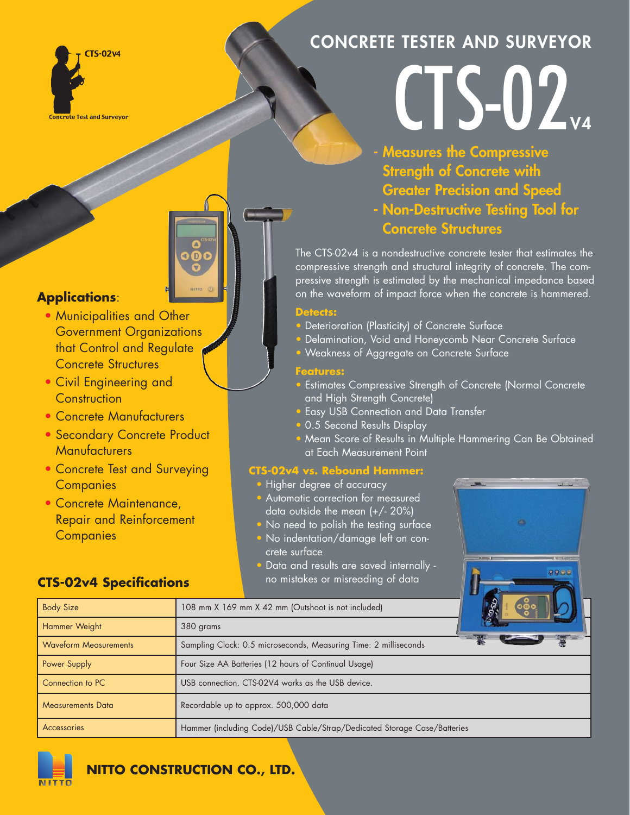

# **CONCRETE TESTER AND SURVEYOR**

# CTS-02

**- Measures the Compressive Strength of Concrete with Greater Precision and Speed** 

**- Non-Destructive Testing Tool for Concrete Structures**

The CTS-02v4 is a nondestructive concrete tester that estimates the compressive strength and structural integrity of concrete. The compressive strength is estimated by the mechanical impedance based on the waveform of impact force when the concrete is hammered.

## **Detects:**

- Deterioration (Plasticity) of Concrete Surface
- Delamination, Void and Honeycomb Near Concrete Surface
- Weakness of Aggregate on Concrete Surface

### **Features:**

- Estimates Compressive Strength of Concrete (Normal Concrete and High Strength Concrete)
- Easy USB Connection and Data Transfer
- 0.5 Second Results Display
- Mean Score of Results in Multiple Hammering Can Be Obtained at Each Measurement Point

 $0000$ 

## **CTS-02v4 vs. Rebound Hammer:**

- Higher degree of accuracy
- Automatic correction for measured data outside the mean (+/- 20%)
- No need to polish the testing surface
- No indentation/damage left on concrete surface
- Data and results are saved internally no mistakes or misreading of data

# **Applications**:

- Municipalities and Other Government Organizations that Control and Regulate Concrete Structures
- Civil Engineering and **Construction**
- Concrete Manufacturers
- Secondary Concrete Product **Manufacturers**
- Concrete Test and Surveying **Companies**
- Concrete Maintenance, Repair and Reinforcement **Companies**

# **CTS-02v4 Specifications**

| <b>Body Size</b>             | 108 mm X 169 mm X 42 mm (Outshoot is not included)                       |
|------------------------------|--------------------------------------------------------------------------|
| Hammer Weight                | 380 grams                                                                |
| <b>Waveform Measurements</b> | Sampling Clock: 0.5 microseconds, Measuring Time: 2 milliseconds         |
| Power Supply                 | Four Size AA Batteries (12 hours of Continual Usage)                     |
| Connection to PC             | USB connection. CTS-02V4 works as the USB device.                        |
| <b>Measurements Data</b>     | Recordable up to approx. 500,000 data                                    |
| <b>Accessories</b>           | Hammer (including Code)/USB Cable/Strap/Dedicated Storage Case/Batteries |



**NITTO CONSTRUCTION CO., LTD.**